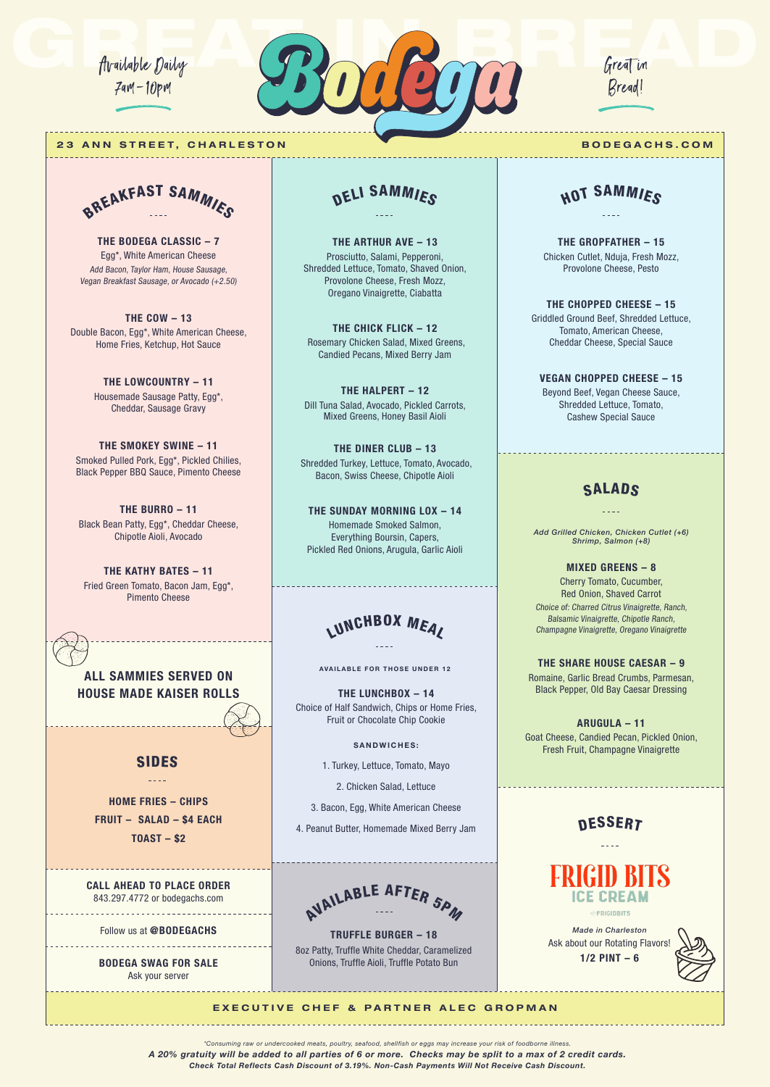Available Daily 7am–10pm



#### **23 ANN STREET, CHARLESTON BODEGACHS.COM**



**THE BODEGA CLASSIC – 7** Egg\*, White American Cheese Add Bacon, Taylor Ham, House Sausage, Vegan Breakfast Sausage, or Avocado (+2.50)

**THE COW – 13** Double Bacon, Egg\*, White American Cheese, Home Fries, Ketchup, Hot Sauce

> **THE LOWCOUNTRY – 11** Housemade Sausage Patty, Egg\*, Cheddar, Sausage Gravy

**THE SMOKEY SWINE – 11** Smoked Pulled Pork, Egg\*, Pickled Chilies, Black Pepper BBQ Sauce, Pimento Cheese

**THE BURRO – 11** Black Bean Patty, Egg\*, Cheddar Cheese, Chipotle Aioli, Avocado

**THE KATHY BATES – 11** Fried Green Tomato, Bacon Jam, Egg\*, Pimento Cheese

**ALL SAMMIES SERVED ON HOUSE MADE KAISER ROLLS**

### SIDES  $\pm$   $\pm$   $\pm$   $\pm$

**HOME FRIES – CHIPS FRUIT – SALAD – \$4 EACH TOAST – \$2**

**CALL AHEAD TO PLACE ORDER** 843.297.4772 or bodegachs.com

Follow us at **@BODEGACHS**

<u>. . . . . . . . . . . . . . . . . .</u> **BODEGA SWAG FOR SALE**

Ask your server

### DELI SAMMIES

**THE ARTHUR AVE – 13** Prosciutto, Salami, Pepperoni, Shredded Lettuce, Tomato, Shaved Onion, Provolone Cheese, Fresh Mozz, Oregano Vinaigrette, Ciabatta

**THE CHICK FLICK – 12** Rosemary Chicken Salad, Mixed Greens, Candied Pecans, Mixed Berry Jam

**THE HALPERT – 12** Dill Tuna Salad, Avocado, Pickled Carrots, Mixed Greens, Honey Basil Aioli

**THE DINER CLUB – 13** Shredded Turkey, Lettuce, Tomato, Avocado, Bacon, Swiss Cheese, Chipotle Aioli

**THE SUNDAY MORNING LOX – 14** Homemade Smoked Salmon, Everything Boursin, Capers, Pickled Red Onions, Arugula, Garlic Aioli

# LUNCHBOX MEAL

**AVAILABLE FOR THOSE UNDER 12**

**THE LUNCHBOX – 14** Choice of Half Sandwich, Chips or Home Fries, Fruit or Chocolate Chip Cookie

**SANDWICHES:**

1. Turkey, Lettuce, Tomato, Mayo

2. Chicken Salad, Lettuce

3. Bacon, Egg, White American Cheese

4. Peanut Butter, Homemade Mixed Berry Jam



**TRUFFLE BURGER – 18** 8oz Patty, Truffle White Cheddar, Caramelized Onions, Truffle Aioli, Truffle Potato Bun

Great in Bread!

## HOT SAMMIES

**THE GROPFATHER – 15** Chicken Cutlet, Nduja, Fresh Mozz, Provolone Cheese, Pesto

**THE CHOPPED CHEESE – 15** Griddled Ground Beef, Shredded Lettuce, Tomato, American Cheese, Cheddar Cheese, Special Sauce

**VEGAN CHOPPED CHEESE – 15** Beyond Beef, Vegan Cheese Sauce, Shredded Lettuce, Tomato, Cashew Special Sauce

### **SALADS**

*Add Grilled Chicken, Chicken Cutlet (+6) Shrimp, Salmon (+8)*

**MIXED GREENS – 8** Cherry Tomato, Cucumber, Red Onion, Shaved Carrot Choice of: Charred Citrus Vinaigrette, Ranch, Balsamic Vinaigrette, Chipotle Ranch, Champagne Vinaigrette, Oregano Vinaigrette

**THE SHARE HOUSE CAESAR – 9** Romaine, Garlic Bread Crumbs, Parmesan, Black Pepper, Old Bay Caesar Dressing

**ARUGULA – 11** Goat Cheese, Candied Pecan, Pickled Onion, Fresh Fruit, Champagne Vinaigrette

### **DESSERT**



*Made in Charleston* Ask about our Rotating Flavors! **1/2 PINT – 6**



#### **EXECUTIVE CHEF & PARTNER ALEC GROPMAN**

*\*Consuming raw or undercooked meats, poultry, seafood, shellfish or eggs may increase your risk of foodborne illness. A 20% gratuity will be added to all parties of 6 or more. Checks may be split to a max of 2 credit cards.*

*Check Total Reflects Cash Discount of 3.19%. Non-Cash Payments Will Not Receive Cash Discount.*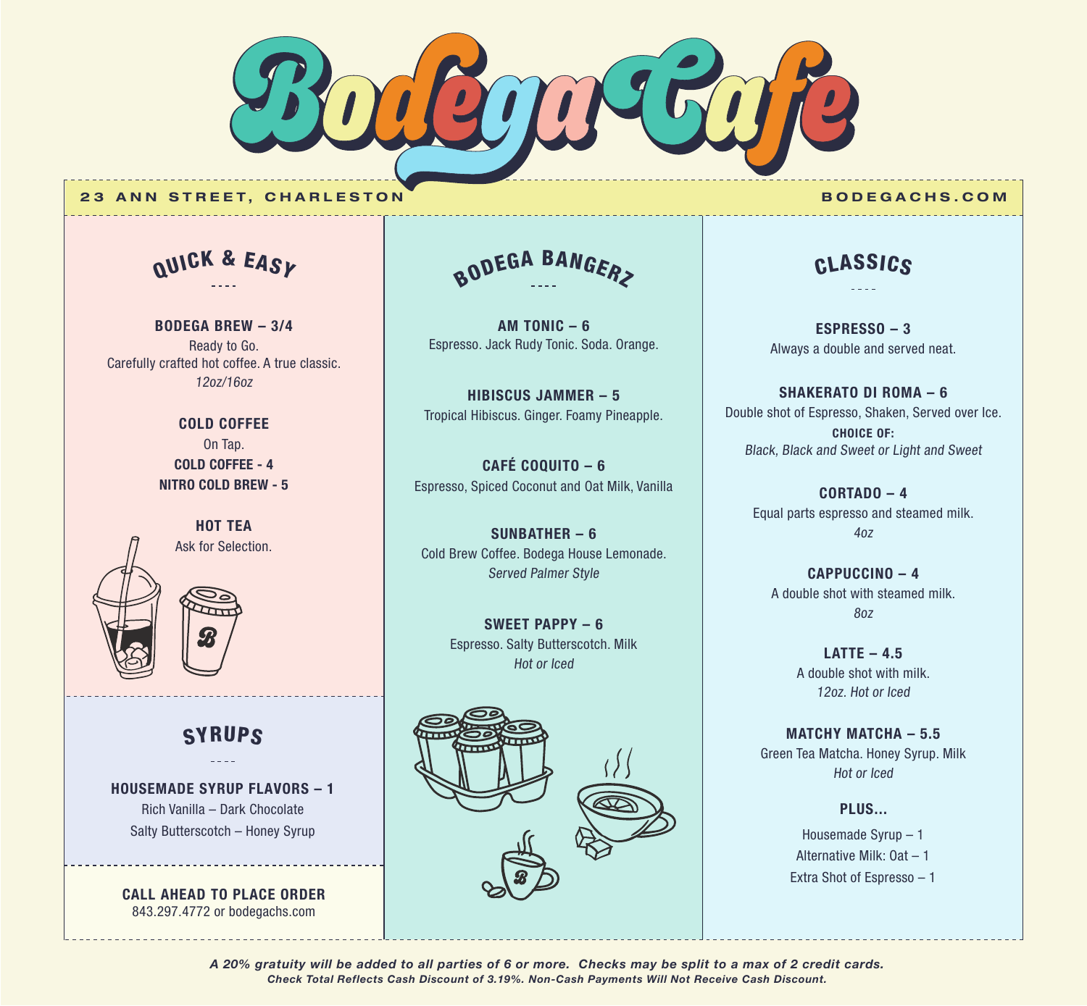

#### **23 ANN STREET, CHARLESTON BODEGACHS.COM**

Q <sup>U</sup>IC<sup>K</sup> & <sup>E</sup>AS<sup>Y</sup>

**BODEGA BREW – 3/4** Ready to Go. Carefully crafted hot coffee. A true classic. 12oz/16oz

> **COLD COFFEE** On Tap. **COLD COFFEE - 4 NITRO COLD BREW - 5**



### **SYRUPS**

**HOUSEMADE SYRUP FLAVORS – 1** Rich Vanilla – Dark Chocolate Salty Butterscotch – Honey Syrup

**CALL AHEAD TO PLACE ORDER** 843.297.4772 or bodegachs.com

BODEGA BANGERZ

**AM TONIC – 6** Espresso. Jack Rudy Tonic. Soda. Orange.

**HIBISCUS JAMMER – 5** Tropical Hibiscus. Ginger. Foamy Pineapple.

**CAFÉ COQUITO – 6** Espresso, Spiced Coconut and Oat Milk, Vanilla

**SUNBATHER – 6** Cold Brew Coffee. Bodega House Lemonade. Served Palmer Style

> **SWEET PAPPY – 6** Espresso. Salty Butterscotch. Milk Hot or Iced



### CLASSICS

**ESPRESSO – 3** Always a double and served neat.

**SHAKERATO DI ROMA – 6** Double shot of Espresso, Shaken, Served over Ice. **CHOICE OF:** Black, Black and Sweet or Light and Sweet

> **CORTADO – 4** Equal parts espresso and steamed milk. 4oz

**CAPPUCCINO – 4** A double shot with steamed milk. 8oz

> **LATTE – 4.5** A double shot with milk. 12oz. Hot or Iced

**MATCHY MATCHA – 5.5** Green Tea Matcha. Honey Syrup. Milk Hot or Iced

> Housemade Syrup – 1 Alternative Milk: Oat – 1 Extra Shot of Espresso – 1

**PLUS...**

*Check Total Reflects Cash Discount of 3.19%. Non-Cash Payments Will Not Receive Cash Discount. A 20% gratuity will be added to all parties of 6 or more. Checks may be split to a max of 2 credit cards.*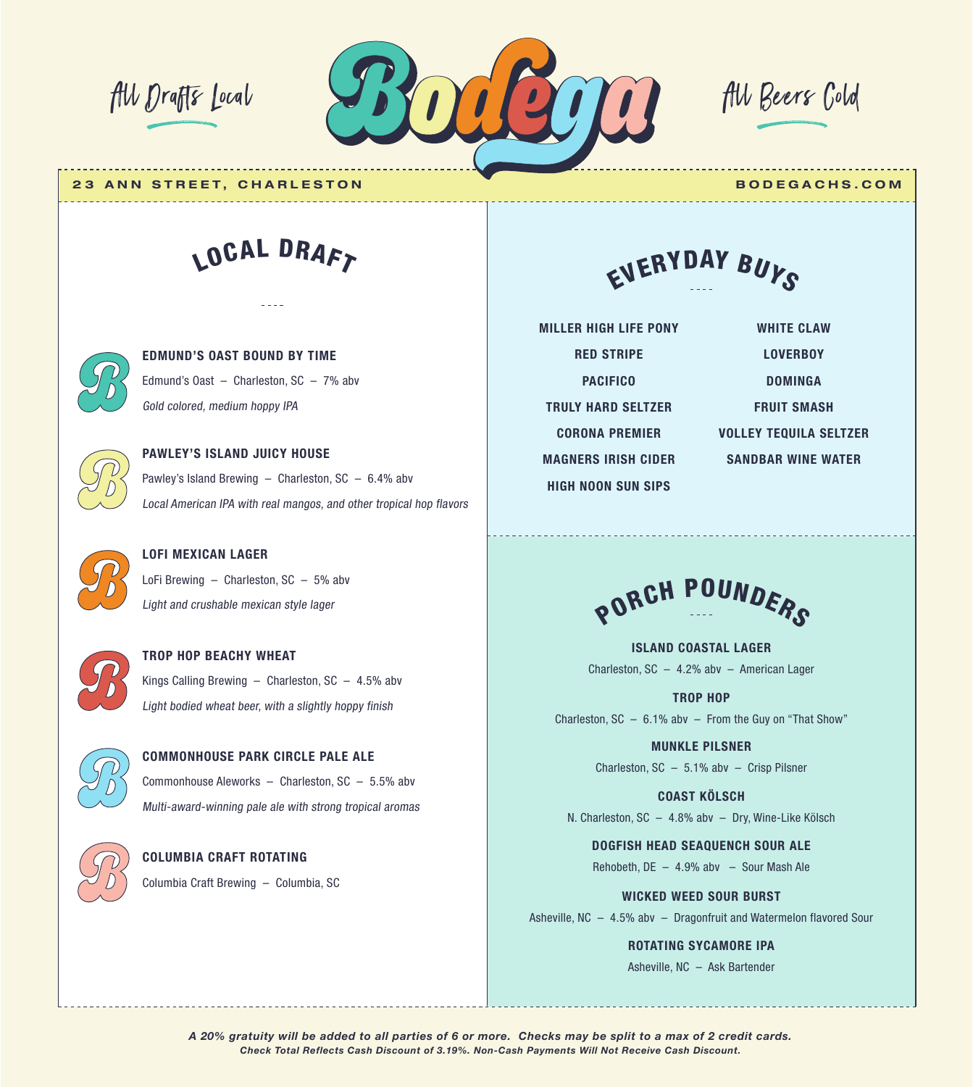

**23 ANN STREET, CHARLESTON BODEGACHS.COM**

# LOCAL DRAFT

**EDMUND'S OAST BOUND BY TIME** Edmund's Oast – Charleston, SC – 7% abv Gold colored, medium hoppy IPA



## **PAWLEY'S ISLAND JUICY HOUSE** Pawley's Island Brewing  $-$  Charleston, SC  $-$  6.4% abv Local American IPA with real mangos, and other tropical hop flavors

**LOFI MEXICAN LAGER**  LoFi Brewing – Charleston, SC – 5% abv Light and crushable mexican style lager



### **TROP HOP BEACHY WHEAT** Kings Calling Brewing  $-$  Charleston, SC  $-$  4.5% abv Light bodied wheat beer, with a slightly hoppy finish

**COMMONHOUSE PARK CIRCLE PALE ALE** Commonhouse Aleworks – Charleston, SC – 5.5% abv Multi-award-winning pale ale with strong tropical aromas



### **COLUMBIA CRAFT ROTATING** Columbia Craft Brewing – Columbia, SC

EVERYDAY BUYS

**MILLER HIGH LIFE PONY RED STRIPE PACIFICO TRULY HARD SELTZER CORONA PREMIER MAGNERS IRISH CIDER HIGH NOON SUN SIPS** 

**WHITE CLAW LOVERBOY DOMINGA FRUIT SMASH VOLLEY TEQUILA SELTZER SANDBAR WINE WATER**

PORCH POUNDERS

**ISLAND COASTAL LAGER** Charleston, SC – 4.2% abv – American Lager

**TROP HOP** Charleston,  $SC - 6.1\%$  abv - From the Guy on "That Show"

> **MUNKLE PILSNER** Charleston, SC – 5.1% abv – Crisp Pilsner

**COAST KÖLSCH**

N. Charleston, SC – 4.8% abv – Dry, Wine-Like Kölsch

**DOGFISH HEAD SEAQUENCH SOUR ALE** Rehobeth, DE – 4.9% abv – Sour Mash Ale

**WICKED WEED SOUR BURST** Asheville, NC – 4.5% abv – Dragonfruit and Watermelon flavored Sour

**ROTATING SYCAMORE IPA**

Asheville, NC – Ask Bartender

*Check Total Reflects Cash Discount of 3.19%. Non-Cash Payments Will Not Receive Cash Discount. A 20% gratuity will be added to all parties of 6 or more. Checks may be split to a max of 2 credit cards.*